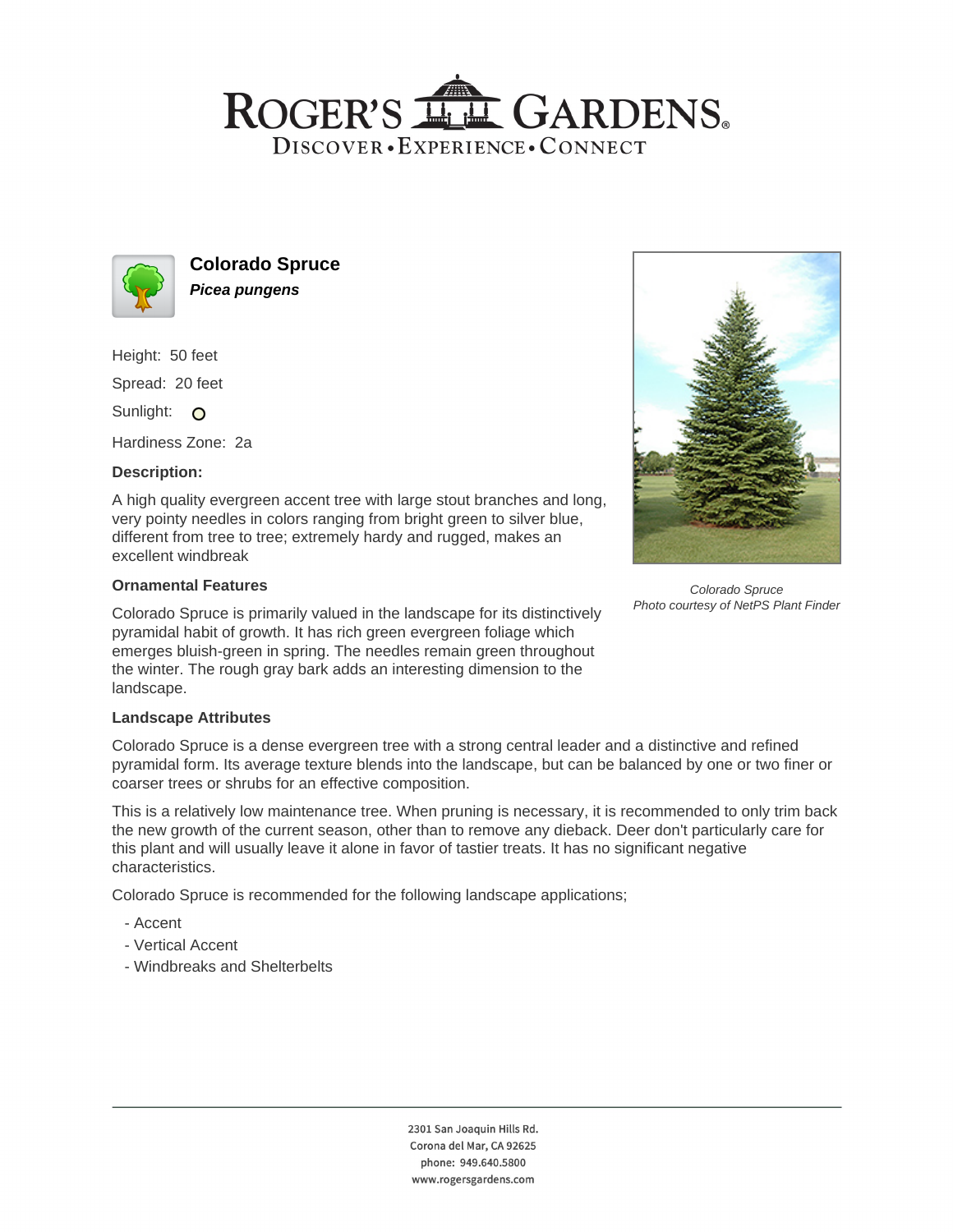# ROGER'S LL GARDENS. DISCOVER · EXPERIENCE · CONNECT



**Colorado Spruce Picea pungens**

Height: 50 feet

Spread: 20 feet

Sunlight: O

Hardiness Zone: 2a

## **Description:**

A high quality evergreen accent tree with large stout branches and long, very pointy needles in colors ranging from bright green to silver blue, different from tree to tree; extremely hardy and rugged, makes an excellent windbreak

#### **Ornamental Features**

Colorado Spruce is primarily valued in the landscape for its distinctively pyramidal habit of growth. It has rich green evergreen foliage which emerges bluish-green in spring. The needles remain green throughout the winter. The rough gray bark adds an interesting dimension to the landscape.

## **Landscape Attributes**

Colorado Spruce is a dense evergreen tree with a strong central leader and a distinctive and refined pyramidal form. Its average texture blends into the landscape, but can be balanced by one or two finer or coarser trees or shrubs for an effective composition.

This is a relatively low maintenance tree. When pruning is necessary, it is recommended to only trim back the new growth of the current season, other than to remove any dieback. Deer don't particularly care for this plant and will usually leave it alone in favor of tastier treats. It has no significant negative characteristics.

Colorado Spruce is recommended for the following landscape applications;

- Accent
- Vertical Accent
- Windbreaks and Shelterbelts



Colorado Spruce Photo courtesy of NetPS Plant Finder